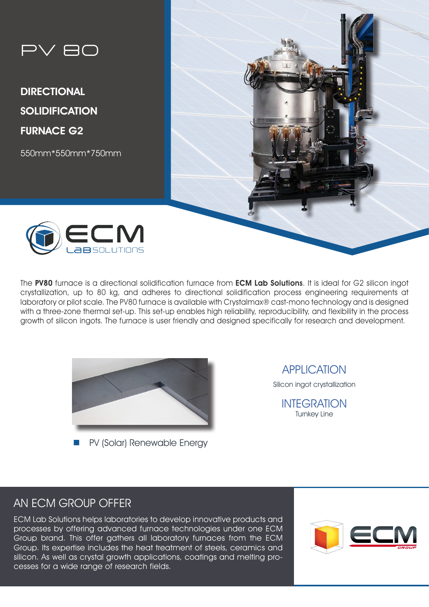

DIRECTIONAL **SOLIDIFICATION** FURNACE G2

550mm\*550mm\*750mm





The PV80 furnace is a directional solidification furnace from ECM Lab Solutions. It is ideal for G2 silicon ingot crystallization, up to 80 kg, and adheres to directional solidification process engineering requirements at laboratory or pilot scale. The PV80 furnace is available with Crystalmax® cast-mono technology and is designed with a three-zone thermal set-up. This set-up enables high reliability, reproducibility, and flexibility in the process growth of silicon ingots. The furnace is user friendly and designed specifically for research and development.



PV (Solar) Renewable Energy

APPLICATION

Silicon ingot crystallization

INTEGRATION Turnkey Line

# AN ECM GROUP OFFER

ECM Lab Solutions helps laboratories to develop innovative products and processes by offering advanced furnace technologies under one ECM Group brand. This offer gathers all laboratory furnaces from the ECM Group. Its expertise includes the heat treatment of steels, ceramics and silicon. As well as crystal growth applications, coatings and melting processes for a wide range of research fields.